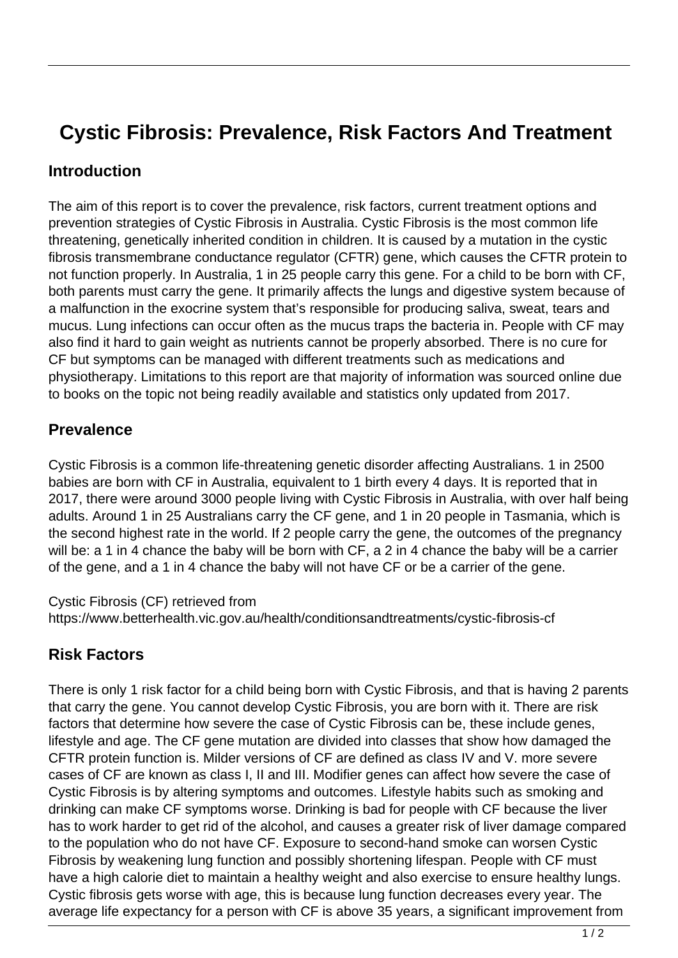# **Cystic Fibrosis: Prevalence, Risk Factors And Treatment**

#### **Introduction**

The aim of this report is to cover the prevalence, risk factors, current treatment options and prevention strategies of Cystic Fibrosis in Australia. Cystic Fibrosis is the most common life threatening, genetically inherited condition in children. It is caused by a mutation in the cystic fibrosis transmembrane conductance regulator (CFTR) gene, which causes the CFTR protein to not function properly. In Australia, 1 in 25 people carry this gene. For a child to be born with CF, both parents must carry the gene. It primarily affects the lungs and digestive system because of a malfunction in the exocrine system that's responsible for producing saliva, sweat, tears and mucus. Lung infections can occur often as the mucus traps the bacteria in. People with CF may also find it hard to gain weight as nutrients cannot be properly absorbed. There is no cure for CF but symptoms can be managed with different treatments such as medications and physiotherapy. Limitations to this report are that majority of information was sourced online due to books on the topic not being readily available and statistics only updated from 2017.

#### **Prevalence**

Cystic Fibrosis is a common life-threatening genetic disorder affecting Australians. 1 in 2500 babies are born with CF in Australia, equivalent to 1 birth every 4 days. It is reported that in 2017, there were around 3000 people living with Cystic Fibrosis in Australia, with over half being adults. Around 1 in 25 Australians carry the CF gene, and 1 in 20 people in Tasmania, which is the second highest rate in the world. If 2 people carry the gene, the outcomes of the pregnancy will be: a 1 in 4 chance the baby will be born with CF, a 2 in 4 chance the baby will be a carrier of the gene, and a 1 in 4 chance the baby will not have CF or be a carrier of the gene.

Cystic Fibrosis (CF) retrieved from

https://www.betterhealth.vic.gov.au/health/conditionsandtreatments/cystic-fibrosis-cf

#### **Risk Factors**

There is only 1 risk factor for a child being born with Cystic Fibrosis, and that is having 2 parents that carry the gene. You cannot develop Cystic Fibrosis, you are born with it. There are risk factors that determine how severe the case of Cystic Fibrosis can be, these include genes, lifestyle and age. The CF gene mutation are divided into classes that show how damaged the CFTR protein function is. Milder versions of CF are defined as class IV and V. more severe cases of CF are known as class I, II and III. Modifier genes can affect how severe the case of Cystic Fibrosis is by altering symptoms and outcomes. Lifestyle habits such as smoking and drinking can make CF symptoms worse. Drinking is bad for people with CF because the liver has to work harder to get rid of the alcohol, and causes a greater risk of liver damage compared to the population who do not have CF. Exposure to second-hand smoke can worsen Cystic Fibrosis by weakening lung function and possibly shortening lifespan. People with CF must have a high calorie diet to maintain a healthy weight and also exercise to ensure healthy lungs. Cystic fibrosis gets worse with age, this is because lung function decreases every year. The average life expectancy for a person with CF is above 35 years, a significant improvement from